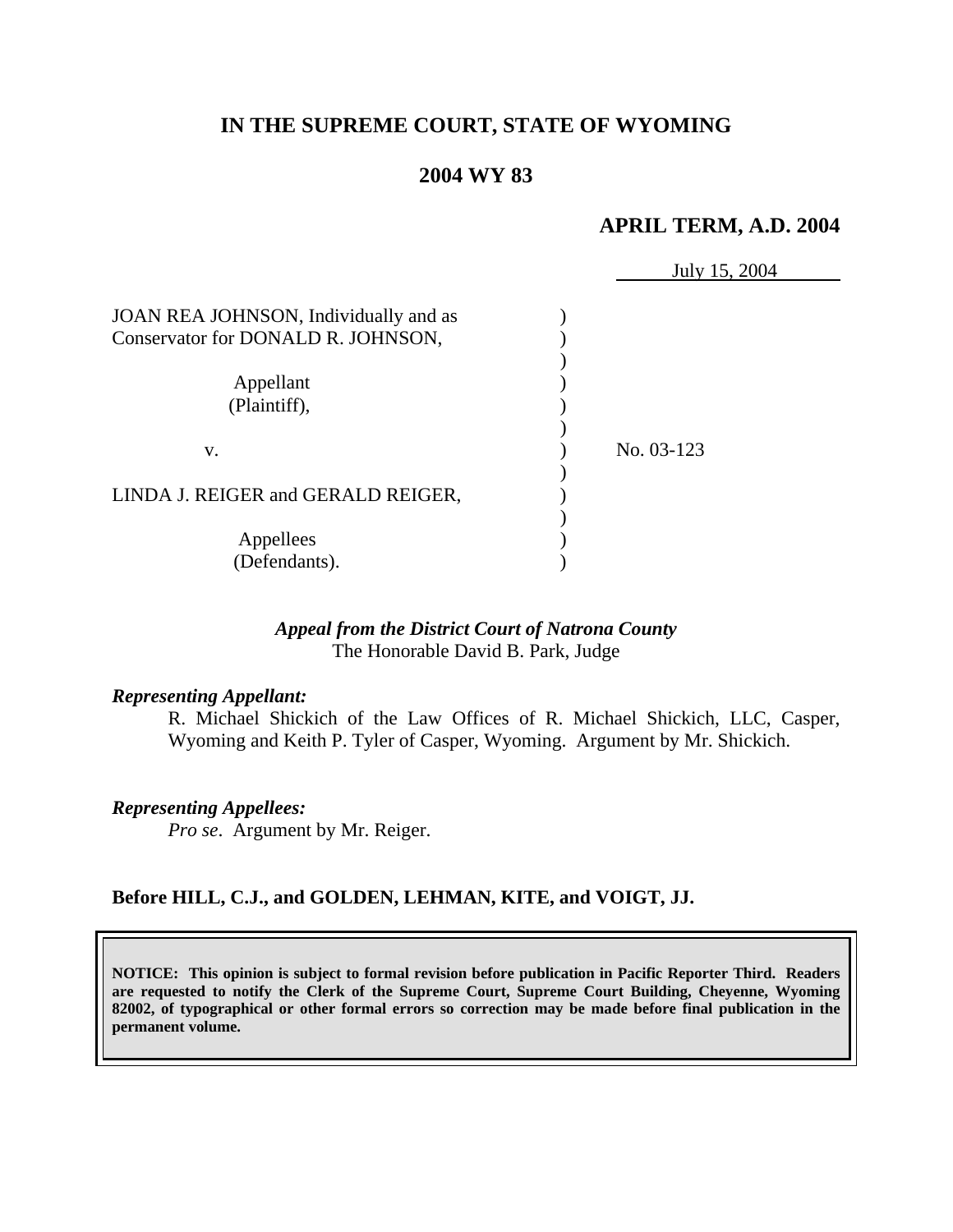# **IN THE SUPREME COURT, STATE OF WYOMING**

## **2004 WY 83**

# **APRIL TERM, A.D. 2004**

|                                       | July 15, 2004 |
|---------------------------------------|---------------|
| JOAN REA JOHNSON, Individually and as |               |
| Conservator for DONALD R. JOHNSON,    |               |
|                                       |               |
| Appellant                             |               |
| (Plaintiff),                          |               |
|                                       |               |
| V.                                    | No. 03-123    |
|                                       |               |
| LINDA J. REIGER and GERALD REIGER,    |               |
|                                       |               |
| Appellees                             |               |
| (Defendants).                         |               |

### *Appeal from the District Court of Natrona County* The Honorable David B. Park, Judge

#### *Representing Appellant:*

R. Michael Shickich of the Law Offices of R. Michael Shickich, LLC, Casper, Wyoming and Keith P. Tyler of Casper, Wyoming. Argument by Mr. Shickich.

*Representing Appellees: Pro se*. Argument by Mr. Reiger.

### **Before HILL, C.J., and GOLDEN, LEHMAN, KITE, and VOIGT, JJ.**

**NOTICE: This opinion is subject to formal revision before publication in Pacific Reporter Third. Readers are requested to notify the Clerk of the Supreme Court, Supreme Court Building, Cheyenne, Wyoming 82002, of typographical or other formal errors so correction may be made before final publication in the permanent volume.**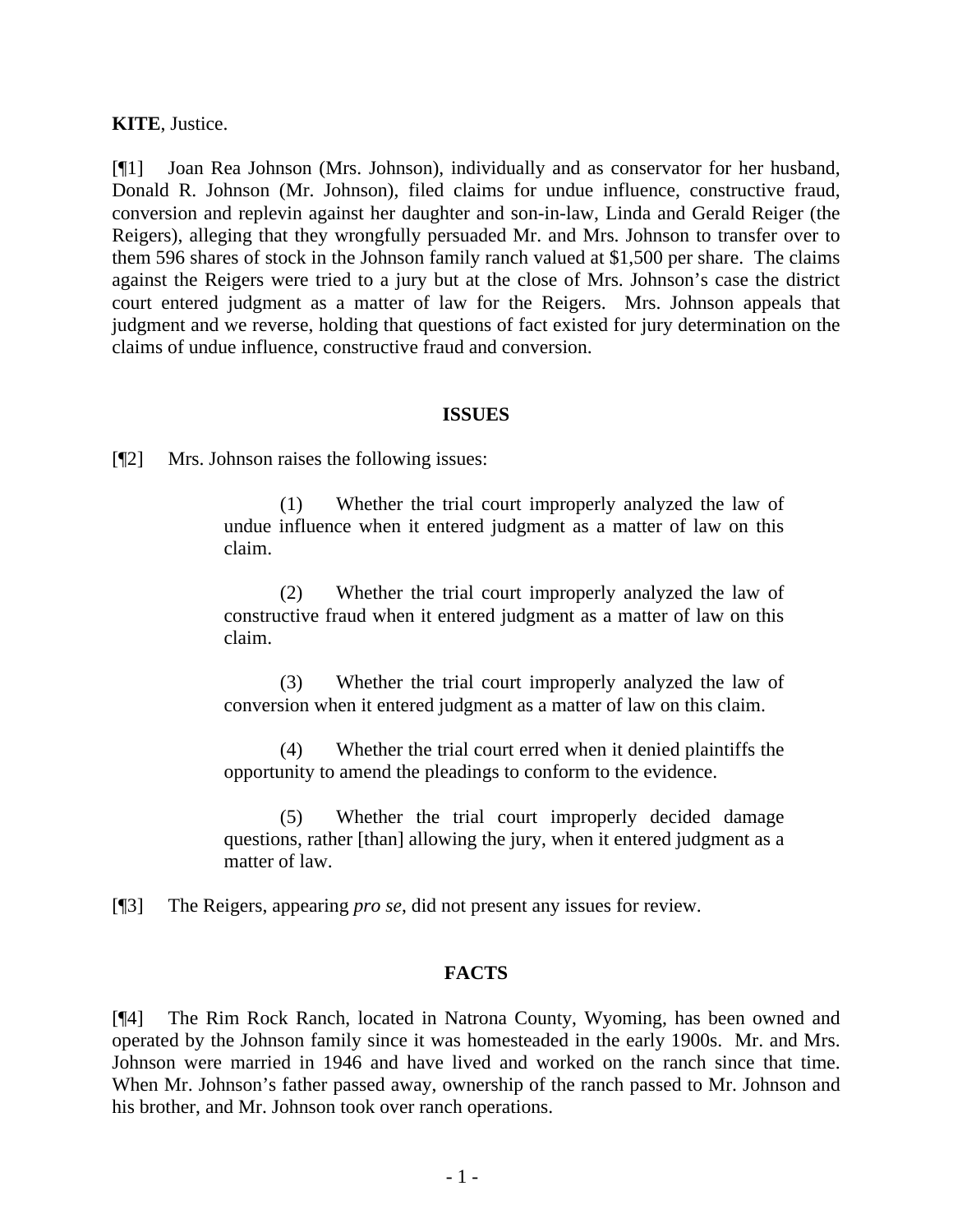**KITE**, Justice.

[¶1] Joan Rea Johnson (Mrs. Johnson), individually and as conservator for her husband, Donald R. Johnson (Mr. Johnson), filed claims for undue influence, constructive fraud, conversion and replevin against her daughter and son-in-law, Linda and Gerald Reiger (the Reigers), alleging that they wrongfully persuaded Mr. and Mrs. Johnson to transfer over to them 596 shares of stock in the Johnson family ranch valued at \$1,500 per share. The claims against the Reigers were tried to a jury but at the close of Mrs. Johnson's case the district court entered judgment as a matter of law for the Reigers. Mrs. Johnson appeals that judgment and we reverse, holding that questions of fact existed for jury determination on the claims of undue influence, constructive fraud and conversion.

### **ISSUES**

[¶2] Mrs. Johnson raises the following issues:

(1) Whether the trial court improperly analyzed the law of undue influence when it entered judgment as a matter of law on this claim.

(2) Whether the trial court improperly analyzed the law of constructive fraud when it entered judgment as a matter of law on this claim.

(3) Whether the trial court improperly analyzed the law of conversion when it entered judgment as a matter of law on this claim.

(4) Whether the trial court erred when it denied plaintiffs the opportunity to amend the pleadings to conform to the evidence.

(5) Whether the trial court improperly decided damage questions, rather [than] allowing the jury, when it entered judgment as a matter of law.

[¶3] The Reigers, appearing *pro se*, did not present any issues for review.

### **FACTS**

[¶4] The Rim Rock Ranch, located in Natrona County, Wyoming, has been owned and operated by the Johnson family since it was homesteaded in the early 1900s. Mr. and Mrs. Johnson were married in 1946 and have lived and worked on the ranch since that time. When Mr. Johnson's father passed away, ownership of the ranch passed to Mr. Johnson and his brother, and Mr. Johnson took over ranch operations.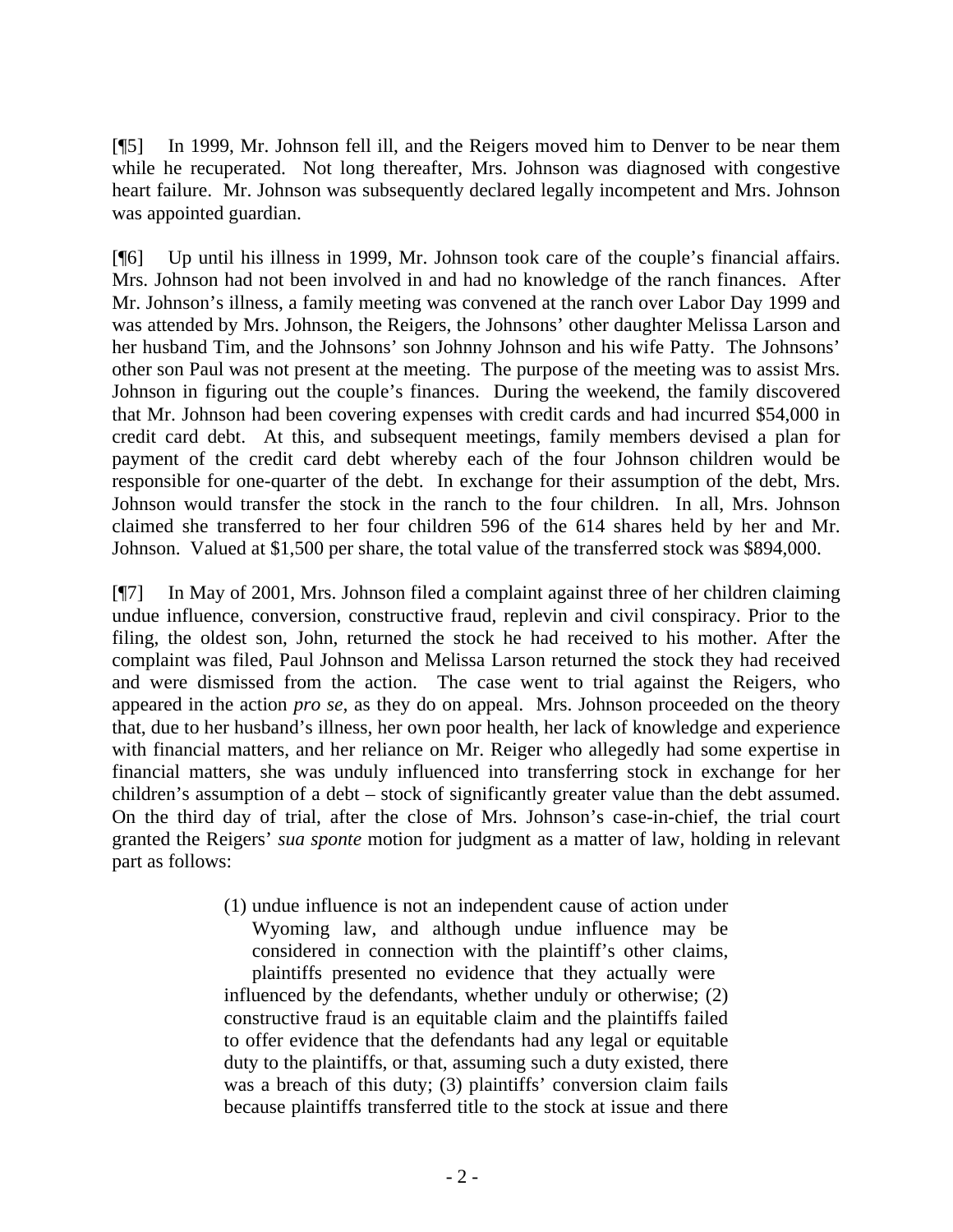[¶5] In 1999, Mr. Johnson fell ill, and the Reigers moved him to Denver to be near them while he recuperated. Not long thereafter, Mrs. Johnson was diagnosed with congestive heart failure. Mr. Johnson was subsequently declared legally incompetent and Mrs. Johnson was appointed guardian.

[¶6] Up until his illness in 1999, Mr. Johnson took care of the couple's financial affairs. Mrs. Johnson had not been involved in and had no knowledge of the ranch finances. After Mr. Johnson's illness, a family meeting was convened at the ranch over Labor Day 1999 and was attended by Mrs. Johnson, the Reigers, the Johnsons' other daughter Melissa Larson and her husband Tim, and the Johnsons' son Johnny Johnson and his wife Patty. The Johnsons' other son Paul was not present at the meeting. The purpose of the meeting was to assist Mrs. Johnson in figuring out the couple's finances. During the weekend, the family discovered that Mr. Johnson had been covering expenses with credit cards and had incurred \$54,000 in credit card debt. At this, and subsequent meetings, family members devised a plan for payment of the credit card debt whereby each of the four Johnson children would be responsible for one-quarter of the debt. In exchange for their assumption of the debt, Mrs. Johnson would transfer the stock in the ranch to the four children. In all, Mrs. Johnson claimed she transferred to her four children 596 of the 614 shares held by her and Mr. Johnson. Valued at \$1,500 per share, the total value of the transferred stock was \$894,000.

[¶7] In May of 2001, Mrs. Johnson filed a complaint against three of her children claiming undue influence, conversion, constructive fraud, replevin and civil conspiracy. Prior to the filing, the oldest son, John, returned the stock he had received to his mother. After the complaint was filed, Paul Johnson and Melissa Larson returned the stock they had received and were dismissed from the action. The case went to trial against the Reigers, who appeared in the action *pro se,* as they do on appeal. Mrs. Johnson proceeded on the theory that, due to her husband's illness, her own poor health, her lack of knowledge and experience with financial matters, and her reliance on Mr. Reiger who allegedly had some expertise in financial matters, she was unduly influenced into transferring stock in exchange for her children's assumption of a debt – stock of significantly greater value than the debt assumed. On the third day of trial, after the close of Mrs. Johnson's case-in-chief, the trial court granted the Reigers' *sua sponte* motion for judgment as a matter of law, holding in relevant part as follows:

> (1) undue influence is not an independent cause of action under Wyoming law, and although undue influence may be considered in connection with the plaintiff's other claims, plaintiffs presented no evidence that they actually were

> influenced by the defendants, whether unduly or otherwise; (2) constructive fraud is an equitable claim and the plaintiffs failed to offer evidence that the defendants had any legal or equitable duty to the plaintiffs, or that, assuming such a duty existed, there was a breach of this duty; (3) plaintiffs' conversion claim fails because plaintiffs transferred title to the stock at issue and there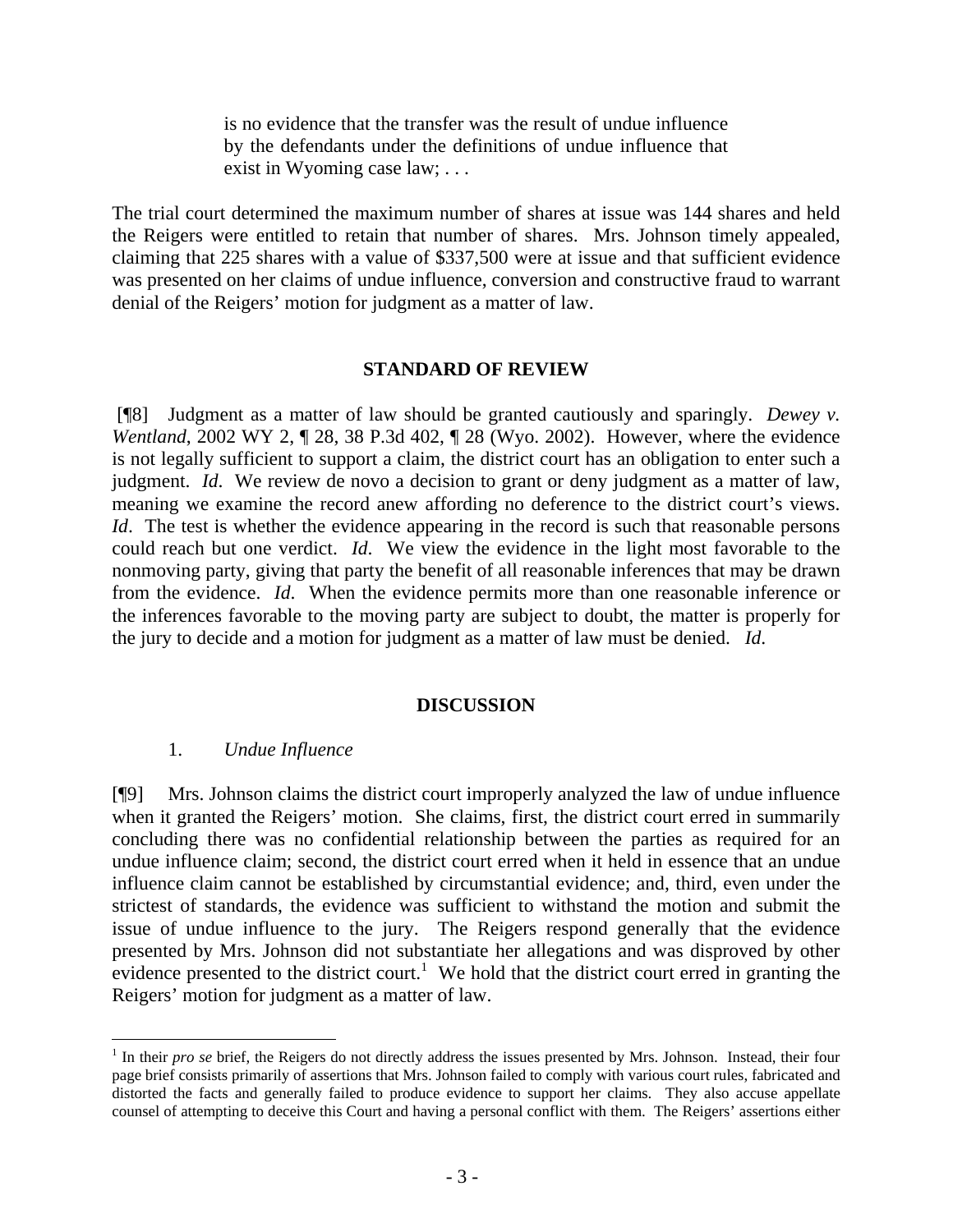is no evidence that the transfer was the result of undue influence by the defendants under the definitions of undue influence that exist in Wyoming case law; . . .

The trial court determined the maximum number of shares at issue was 144 shares and held the Reigers were entitled to retain that number of shares. Mrs. Johnson timely appealed, claiming that 225 shares with a value of \$337,500 were at issue and that sufficient evidence was presented on her claims of undue influence, conversion and constructive fraud to warrant denial of the Reigers' motion for judgment as a matter of law.

#### **STANDARD OF REVIEW**

[¶8] Judgment as a matter of law should be granted cautiously and sparingly. *Dewey v. Wentland*, 2002 WY 2, 1 28, 38 P.3d 402, 1 28 (Wyo. 2002). However, where the evidence is not legally sufficient to support a claim, the district court has an obligation to enter such a judgment. *Id*. We review de novo a decision to grant or deny judgment as a matter of law, meaning we examine the record anew affording no deference to the district court's views. *Id*. The test is whether the evidence appearing in the record is such that reasonable persons could reach but one verdict. *Id*. We view the evidence in the light most favorable to the nonmoving party, giving that party the benefit of all reasonable inferences that may be drawn from the evidence. *Id*. When the evidence permits more than one reasonable inference or the inferences favorable to the moving party are subject to doubt, the matter is properly for the jury to decide and a motion for judgment as a matter of law must be denied. *Id*.

#### **DISCUSSION**

#### 1. *Undue Influence*

 $\overline{a}$ 

[¶9] Mrs. Johnson claims the district court improperly analyzed the law of undue influence when it granted the Reigers' motion. She claims, first, the district court erred in summarily concluding there was no confidential relationship between the parties as required for an undue influence claim; second, the district court erred when it held in essence that an undue influence claim cannot be established by circumstantial evidence; and, third, even under the strictest of standards, the evidence was sufficient to withstand the motion and submit the issue of undue influence to the jury. The Reigers respond generally that the evidence presented by Mrs. Johnson did not substantiate her allegations and was disproved by other evidence presented to the district court.<sup>1</sup> We hold that the district court erred in granting the Reigers' motion for judgment as a matter of law.

<sup>&</sup>lt;sup>1</sup> In their *pro se* brief, the Reigers do not directly address the issues presented by Mrs. Johnson. Instead, their four page brief consists primarily of assertions that Mrs. Johnson failed to comply with various court rules, fabricated and distorted the facts and generally failed to produce evidence to support her claims. They also accuse appellate counsel of attempting to deceive this Court and having a personal conflict with them. The Reigers' assertions either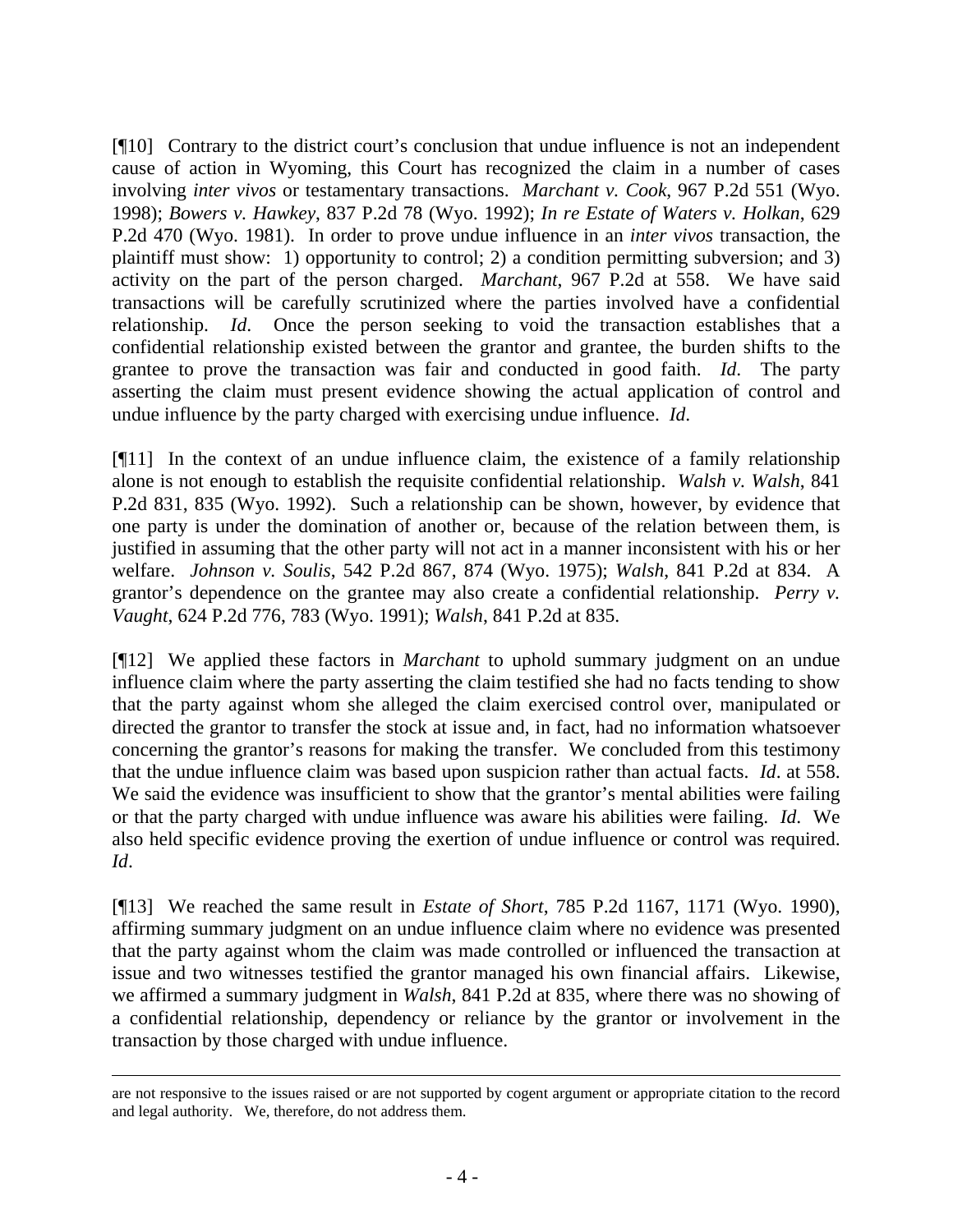[¶10] Contrary to the district court's conclusion that undue influence is not an independent cause of action in Wyoming, this Court has recognized the claim in a number of cases involving *inter vivos* or testamentary transactions. *Marchant v. Cook*, 967 P.2d 551 (Wyo. 1998); *Bowers v. Hawkey*, 837 P.2d 78 (Wyo. 1992); *In re Estate of Waters v. Holkan*, 629 P.2d 470 (Wyo. 1981). In order to prove undue influence in an *inter vivos* transaction, the plaintiff must show: 1) opportunity to control; 2) a condition permitting subversion; and 3) activity on the part of the person charged. *Marchant*, 967 P.2d at 558. We have said transactions will be carefully scrutinized where the parties involved have a confidential relationship. *Id*. Once the person seeking to void the transaction establishes that a confidential relationship existed between the grantor and grantee, the burden shifts to the grantee to prove the transaction was fair and conducted in good faith. *Id*. The party asserting the claim must present evidence showing the actual application of control and undue influence by the party charged with exercising undue influence. *Id*.

[¶11] In the context of an undue influence claim, the existence of a family relationship alone is not enough to establish the requisite confidential relationship. *Walsh v. Walsh*, 841 P.2d 831, 835 (Wyo. 1992). Such a relationship can be shown, however, by evidence that one party is under the domination of another or, because of the relation between them, is justified in assuming that the other party will not act in a manner inconsistent with his or her welfare. *Johnson v. Soulis*, 542 P.2d 867, 874 (Wyo. 1975); *Walsh*, 841 P.2d at 834. A grantor's dependence on the grantee may also create a confidential relationship. *Perry v. Vaught*, 624 P.2d 776, 783 (Wyo. 1991); *Walsh*, 841 P.2d at 835.

[¶12] We applied these factors in *Marchant* to uphold summary judgment on an undue influence claim where the party asserting the claim testified she had no facts tending to show that the party against whom she alleged the claim exercised control over, manipulated or directed the grantor to transfer the stock at issue and, in fact, had no information whatsoever concerning the grantor's reasons for making the transfer. We concluded from this testimony that the undue influence claim was based upon suspicion rather than actual facts. *Id*. at 558. We said the evidence was insufficient to show that the grantor's mental abilities were failing or that the party charged with undue influence was aware his abilities were failing. *Id*. We also held specific evidence proving the exertion of undue influence or control was required. *Id*.

[¶13] We reached the same result in *Estate of Short*, 785 P.2d 1167, 1171 (Wyo. 1990), affirming summary judgment on an undue influence claim where no evidence was presented that the party against whom the claim was made controlled or influenced the transaction at issue and two witnesses testified the grantor managed his own financial affairs. Likewise, we affirmed a summary judgment in *Walsh*, 841 P.2d at 835, where there was no showing of a confidential relationship, dependency or reliance by the grantor or involvement in the transaction by those charged with undue influence.

are not responsive to the issues raised or are not supported by cogent argument or appropriate citation to the record and legal authority. We, therefore, do not address them.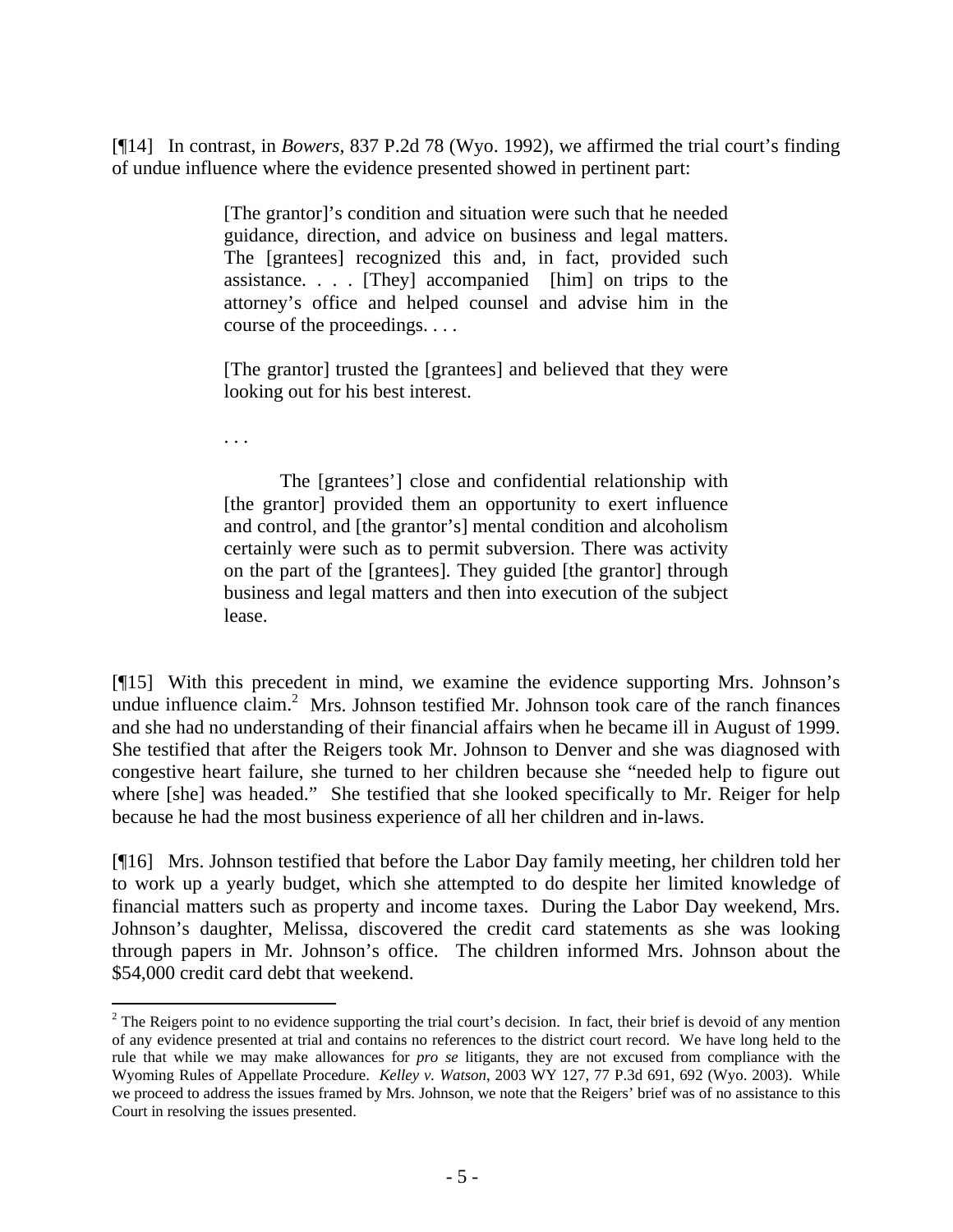[¶14] In contrast, in *Bowers*, 837 P.2d 78 (Wyo. 1992), we affirmed the trial court's finding of undue influence where the evidence presented showed in pertinent part:

> [The grantor]'s condition and situation were such that he needed guidance, direction, and advice on business and legal matters. The [grantees] recognized this and, in fact, provided such assistance. . . . [They] accompanied [him] on trips to the attorney's office and helped counsel and advise him in the course of the proceedings. . . .

> [The grantor] trusted the [grantees] and believed that they were looking out for his best interest.

. . .

l

The [grantees'] close and confidential relationship with [the grantor] provided them an opportunity to exert influence and control, and [the grantor's] mental condition and alcoholism certainly were such as to permit subversion. There was activity on the part of the [grantees]. They guided [the grantor] through business and legal matters and then into execution of the subject lease.

[¶15] With this precedent in mind, we examine the evidence supporting Mrs. Johnson's undue influence claim.<sup>2</sup> Mrs. Johnson testified Mr. Johnson took care of the ranch finances and she had no understanding of their financial affairs when he became ill in August of 1999. She testified that after the Reigers took Mr. Johnson to Denver and she was diagnosed with congestive heart failure, she turned to her children because she "needed help to figure out where [she] was headed." She testified that she looked specifically to Mr. Reiger for help because he had the most business experience of all her children and in-laws.

[¶16] Mrs. Johnson testified that before the Labor Day family meeting, her children told her to work up a yearly budget, which she attempted to do despite her limited knowledge of financial matters such as property and income taxes. During the Labor Day weekend, Mrs. Johnson's daughter, Melissa, discovered the credit card statements as she was looking through papers in Mr. Johnson's office. The children informed Mrs. Johnson about the \$54,000 credit card debt that weekend.

 $2^2$  The Reigers point to no evidence supporting the trial court's decision. In fact, their brief is devoid of any mention of any evidence presented at trial and contains no references to the district court record. We have long held to the rule that while we may make allowances for *pro se* litigants, they are not excused from compliance with the Wyoming Rules of Appellate Procedure. *Kelley v. Watson*, 2003 WY 127, 77 P.3d 691, 692 (Wyo. 2003). While we proceed to address the issues framed by Mrs. Johnson, we note that the Reigers' brief was of no assistance to this Court in resolving the issues presented.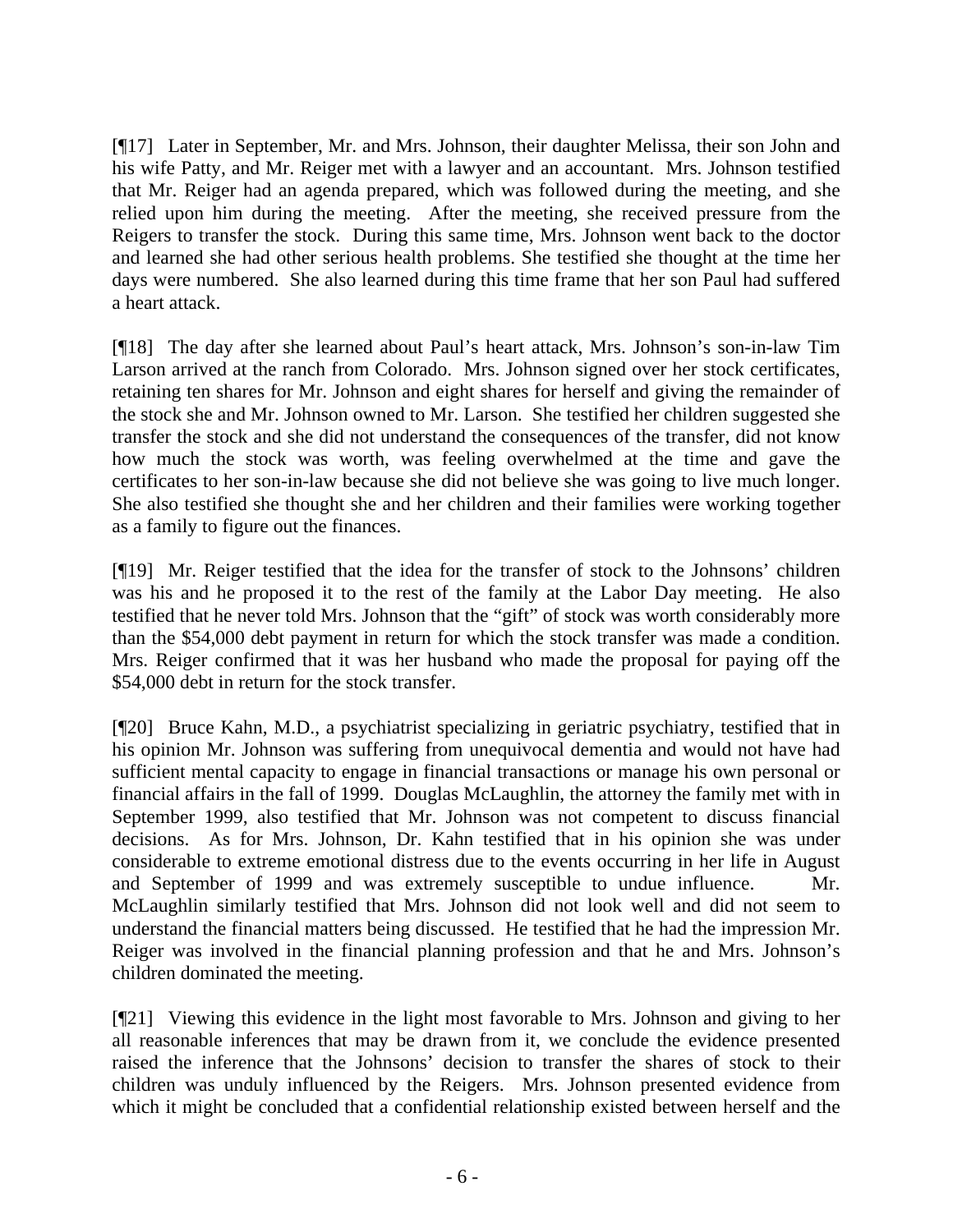[¶17] Later in September, Mr. and Mrs. Johnson, their daughter Melissa, their son John and his wife Patty, and Mr. Reiger met with a lawyer and an accountant. Mrs. Johnson testified that Mr. Reiger had an agenda prepared, which was followed during the meeting, and she relied upon him during the meeting. After the meeting, she received pressure from the Reigers to transfer the stock. During this same time, Mrs. Johnson went back to the doctor and learned she had other serious health problems. She testified she thought at the time her days were numbered. She also learned during this time frame that her son Paul had suffered a heart attack.

[¶18] The day after she learned about Paul's heart attack, Mrs. Johnson's son-in-law Tim Larson arrived at the ranch from Colorado. Mrs. Johnson signed over her stock certificates, retaining ten shares for Mr. Johnson and eight shares for herself and giving the remainder of the stock she and Mr. Johnson owned to Mr. Larson. She testified her children suggested she transfer the stock and she did not understand the consequences of the transfer, did not know how much the stock was worth, was feeling overwhelmed at the time and gave the certificates to her son-in-law because she did not believe she was going to live much longer. She also testified she thought she and her children and their families were working together as a family to figure out the finances.

[¶19] Mr. Reiger testified that the idea for the transfer of stock to the Johnsons' children was his and he proposed it to the rest of the family at the Labor Day meeting. He also testified that he never told Mrs. Johnson that the "gift" of stock was worth considerably more than the \$54,000 debt payment in return for which the stock transfer was made a condition. Mrs. Reiger confirmed that it was her husband who made the proposal for paying off the \$54,000 debt in return for the stock transfer.

[¶20] Bruce Kahn, M.D., a psychiatrist specializing in geriatric psychiatry, testified that in his opinion Mr. Johnson was suffering from unequivocal dementia and would not have had sufficient mental capacity to engage in financial transactions or manage his own personal or financial affairs in the fall of 1999. Douglas McLaughlin, the attorney the family met with in September 1999, also testified that Mr. Johnson was not competent to discuss financial decisions. As for Mrs. Johnson, Dr. Kahn testified that in his opinion she was under considerable to extreme emotional distress due to the events occurring in her life in August and September of 1999 and was extremely susceptible to undue influence. Mr. McLaughlin similarly testified that Mrs. Johnson did not look well and did not seem to understand the financial matters being discussed. He testified that he had the impression Mr. Reiger was involved in the financial planning profession and that he and Mrs. Johnson's children dominated the meeting.

[¶21] Viewing this evidence in the light most favorable to Mrs. Johnson and giving to her all reasonable inferences that may be drawn from it, we conclude the evidence presented raised the inference that the Johnsons' decision to transfer the shares of stock to their children was unduly influenced by the Reigers. Mrs. Johnson presented evidence from which it might be concluded that a confidential relationship existed between herself and the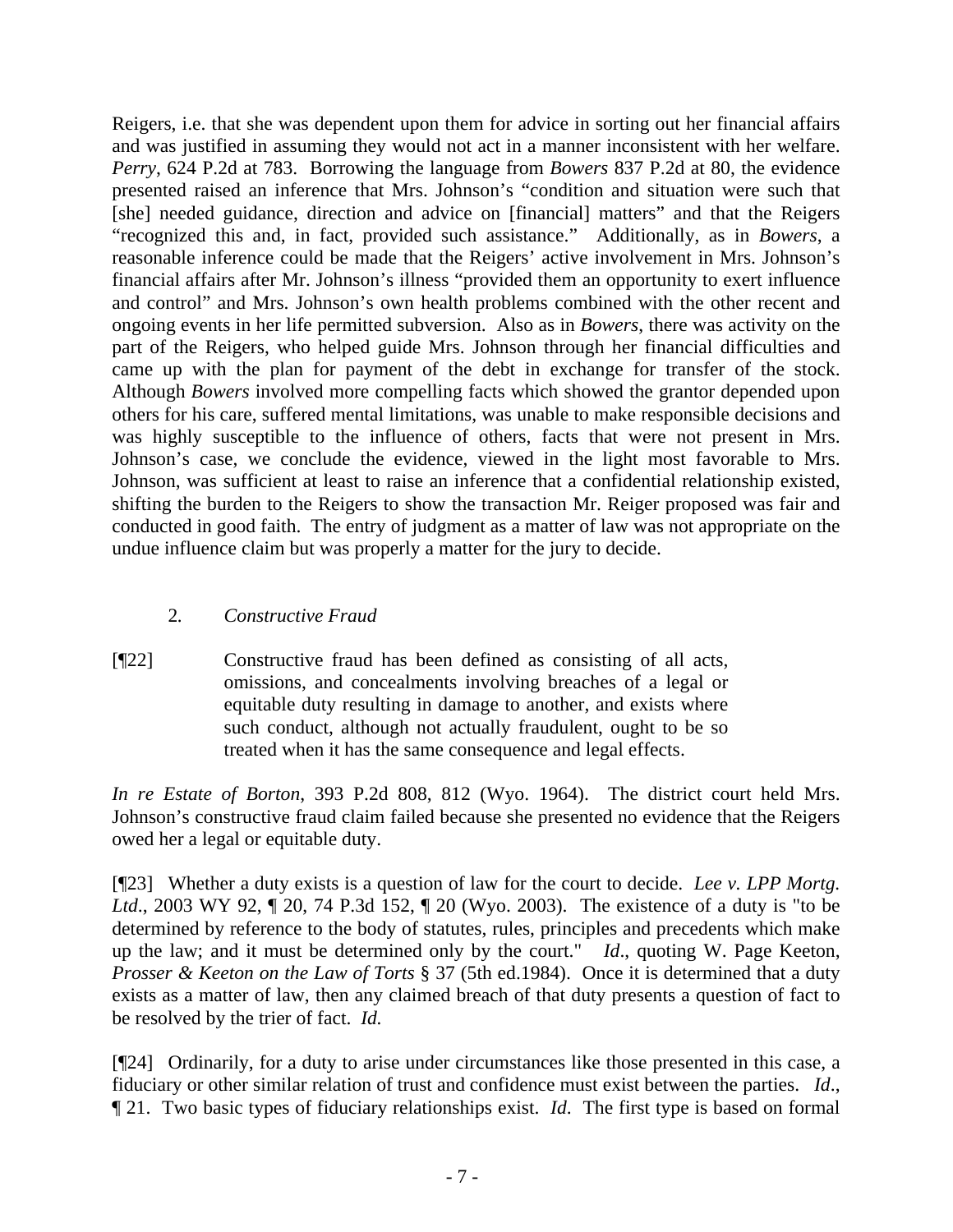Reigers, i.e. that she was dependent upon them for advice in sorting out her financial affairs and was justified in assuming they would not act in a manner inconsistent with her welfare. *Perry*, 624 P.2d at 783. Borrowing the language from *Bowers* 837 P.2d at 80, the evidence presented raised an inference that Mrs. Johnson's "condition and situation were such that [she] needed guidance, direction and advice on [financial] matters" and that the Reigers "recognized this and, in fact, provided such assistance." Additionally, as in *Bowers*, a reasonable inference could be made that the Reigers' active involvement in Mrs. Johnson's financial affairs after Mr. Johnson's illness "provided them an opportunity to exert influence and control" and Mrs. Johnson's own health problems combined with the other recent and ongoing events in her life permitted subversion. Also as in *Bowers*, there was activity on the part of the Reigers, who helped guide Mrs. Johnson through her financial difficulties and came up with the plan for payment of the debt in exchange for transfer of the stock. Although *Bowers* involved more compelling facts which showed the grantor depended upon others for his care, suffered mental limitations, was unable to make responsible decisions and was highly susceptible to the influence of others, facts that were not present in Mrs. Johnson's case, we conclude the evidence, viewed in the light most favorable to Mrs. Johnson, was sufficient at least to raise an inference that a confidential relationship existed, shifting the burden to the Reigers to show the transaction Mr. Reiger proposed was fair and conducted in good faith. The entry of judgment as a matter of law was not appropriate on the undue influence claim but was properly a matter for the jury to decide.

## 2*. Constructive Fraud*

[¶22] Constructive fraud has been defined as consisting of all acts, omissions, and concealments involving breaches of a legal or equitable duty resulting in damage to another, and exists where such conduct, although not actually fraudulent, ought to be so treated when it has the same consequence and legal effects.

*In re Estate of Borton*, 393 P.2d 808, 812 (Wyo. 1964). The district court held Mrs. Johnson's constructive fraud claim failed because she presented no evidence that the Reigers owed her a legal or equitable duty.

[¶23] Whether a duty exists is a question of law for the court to decide. *Lee v. LPP Mortg. Ltd.*, 2003 WY 92,  $\parallel$  20, 74 P.3d 152,  $\parallel$  20 (Wyo. 2003). The existence of a duty is "to be determined by reference to the body of statutes, rules, principles and precedents which make up the law; and it must be determined only by the court." *Id*., quoting W. Page Keeton, *Prosser & Keeton on the Law of Torts* § 37 (5th ed.1984). Once it is determined that a duty exists as a matter of law, then any claimed breach of that duty presents a question of fact to be resolved by the trier of fact. *Id.* 

[¶24] Ordinarily, for a duty to arise under circumstances like those presented in this case, a fiduciary or other similar relation of trust and confidence must exist between the parties. *Id*., ¶ 21. Two basic types of fiduciary relationships exist. *Id*. The first type is based on formal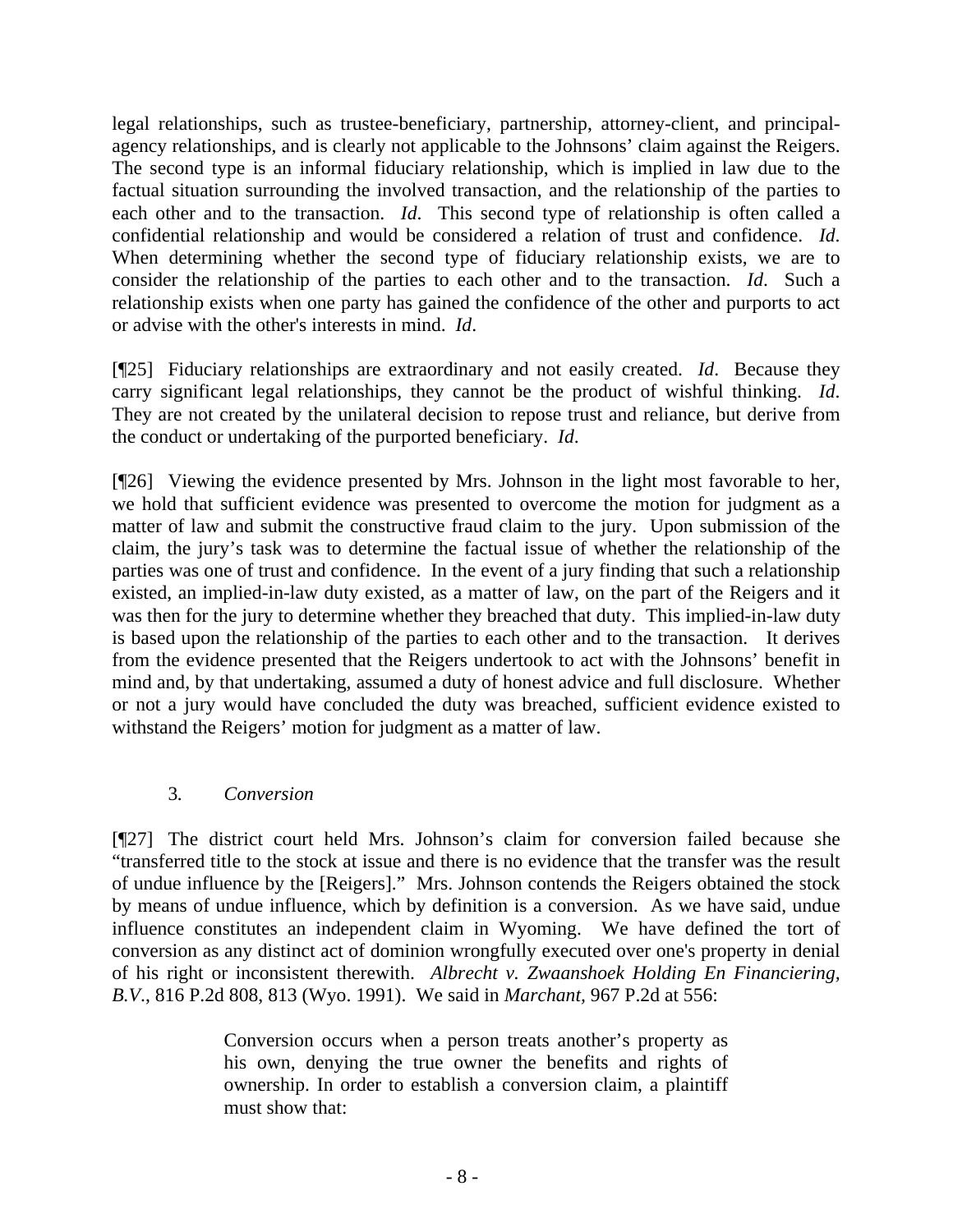legal relationships, such as trustee-beneficiary, partnership, attorney-client, and principalagency relationships, and is clearly not applicable to the Johnsons' claim against the Reigers. The second type is an informal fiduciary relationship, which is implied in law due to the factual situation surrounding the involved transaction, and the relationship of the parties to each other and to the transaction. *Id*. This second type of relationship is often called a confidential relationship and would be considered a relation of trust and confidence. *Id*. When determining whether the second type of fiduciary relationship exists, we are to consider the relationship of the parties to each other and to the transaction. *Id*. Such a relationship exists when one party has gained the confidence of the other and purports to act or advise with the other's interests in mind. *Id*.

[¶25] Fiduciary relationships are extraordinary and not easily created. *Id*. Because they carry significant legal relationships, they cannot be the product of wishful thinking. *Id*. They are not created by the unilateral decision to repose trust and reliance, but derive from the conduct or undertaking of the purported beneficiary. *Id*.

[¶26] Viewing the evidence presented by Mrs. Johnson in the light most favorable to her, we hold that sufficient evidence was presented to overcome the motion for judgment as a matter of law and submit the constructive fraud claim to the jury. Upon submission of the claim, the jury's task was to determine the factual issue of whether the relationship of the parties was one of trust and confidence. In the event of a jury finding that such a relationship existed, an implied-in-law duty existed, as a matter of law, on the part of the Reigers and it was then for the jury to determine whether they breached that duty. This implied-in-law duty is based upon the relationship of the parties to each other and to the transaction. It derives from the evidence presented that the Reigers undertook to act with the Johnsons' benefit in mind and, by that undertaking, assumed a duty of honest advice and full disclosure. Whether or not a jury would have concluded the duty was breached, sufficient evidence existed to withstand the Reigers' motion for judgment as a matter of law.

### 3*. Conversion*

[¶27] The district court held Mrs. Johnson's claim for conversion failed because she "transferred title to the stock at issue and there is no evidence that the transfer was the result of undue influence by the [Reigers]." Mrs. Johnson contends the Reigers obtained the stock by means of undue influence, which by definition is a conversion. As we have said, undue influence constitutes an independent claim in Wyoming. We have defined the tort of conversion as any distinct act of dominion wrongfully executed over one's property in denial of his right or inconsistent therewith. *Albrecht v. Zwaanshoek Holding En Financiering, B.V*., 816 P.2d 808, 813 (Wyo. 1991). We said in *Marchant,* 967 P.2d at 556:

> Conversion occurs when a person treats another's property as his own, denying the true owner the benefits and rights of ownership. In order to establish a conversion claim, a plaintiff must show that: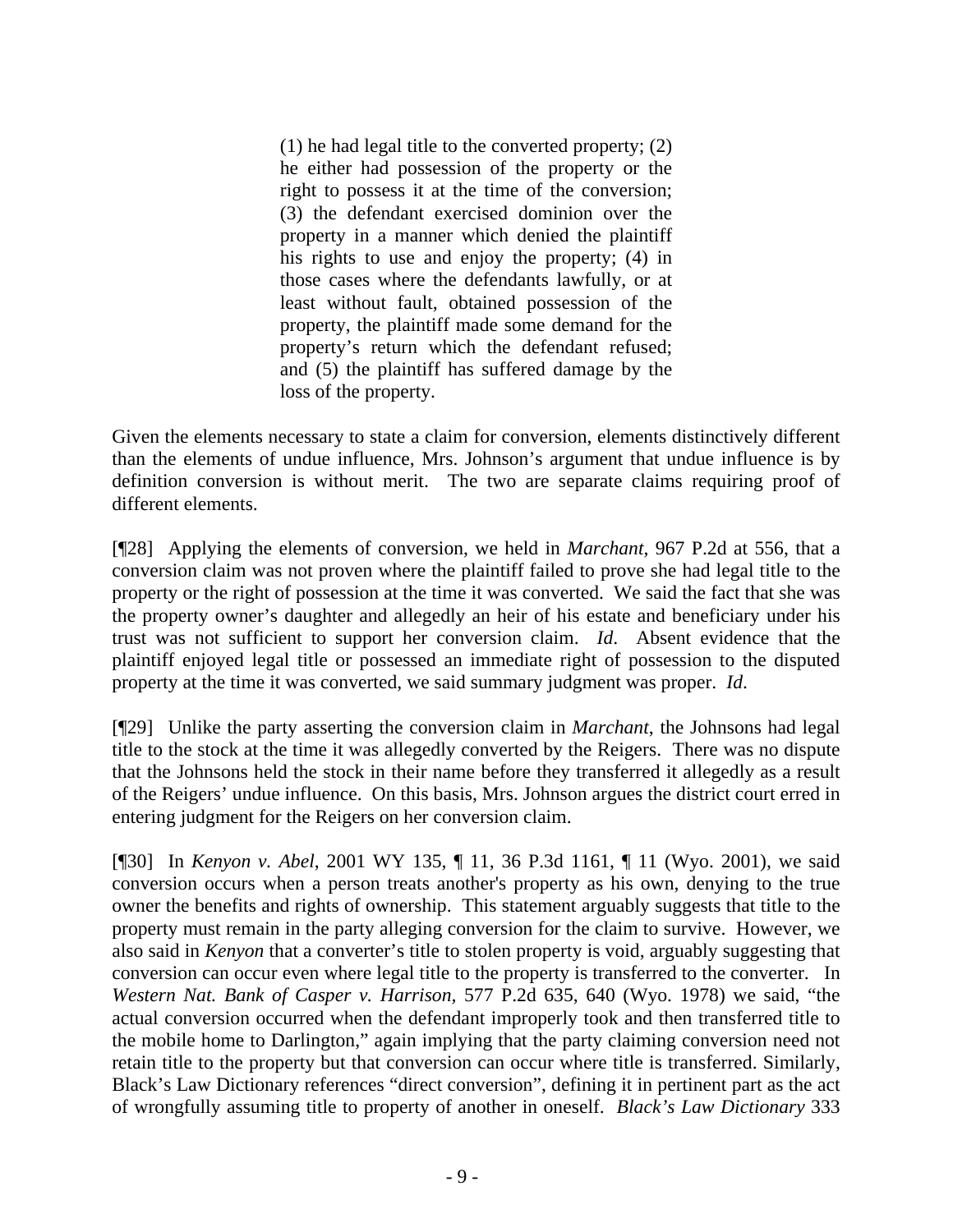(1) he had legal title to the converted property; (2) he either had possession of the property or the right to possess it at the time of the conversion; (3) the defendant exercised dominion over the property in a manner which denied the plaintiff his rights to use and enjoy the property; (4) in those cases where the defendants lawfully, or at least without fault, obtained possession of the property, the plaintiff made some demand for the property's return which the defendant refused; and (5) the plaintiff has suffered damage by the loss of the property.

Given the elements necessary to state a claim for conversion, elements distinctively different than the elements of undue influence, Mrs. Johnson's argument that undue influence is by definition conversion is without merit. The two are separate claims requiring proof of different elements.

[¶28] Applying the elements of conversion, we held in *Marchant*, 967 P.2d at 556, that a conversion claim was not proven where the plaintiff failed to prove she had legal title to the property or the right of possession at the time it was converted. We said the fact that she was the property owner's daughter and allegedly an heir of his estate and beneficiary under his trust was not sufficient to support her conversion claim. *Id*. Absent evidence that the plaintiff enjoyed legal title or possessed an immediate right of possession to the disputed property at the time it was converted, we said summary judgment was proper. *Id*.

[¶29] Unlike the party asserting the conversion claim in *Marchant*, the Johnsons had legal title to the stock at the time it was allegedly converted by the Reigers. There was no dispute that the Johnsons held the stock in their name before they transferred it allegedly as a result of the Reigers' undue influence. On this basis, Mrs. Johnson argues the district court erred in entering judgment for the Reigers on her conversion claim.

[¶30] In *Kenyon v. Abel*, 2001 WY 135, ¶ 11, 36 P.3d 1161, ¶ 11 (Wyo. 2001), we said conversion occurs when a person treats another's property as his own, denying to the true owner the benefits and rights of ownership. This statement arguably suggests that title to the property must remain in the party alleging conversion for the claim to survive. However, we also said in *Kenyon* that a converter's title to stolen property is void, arguably suggesting that conversion can occur even where legal title to the property is transferred to the converter. In *Western Nat. Bank of Casper v. Harrison,* 577 P.2d 635, 640 (Wyo. 1978) we said, "the actual conversion occurred when the defendant improperly took and then transferred title to the mobile home to Darlington," again implying that the party claiming conversion need not retain title to the property but that conversion can occur where title is transferred. Similarly, Black's Law Dictionary references "direct conversion", defining it in pertinent part as the act of wrongfully assuming title to property of another in oneself. *Black's Law Dictionary* 333